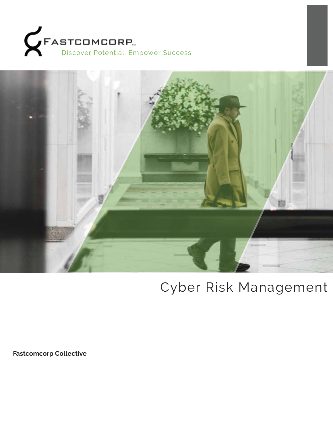



# Cyber Risk Management

**Fastcomcorp Collective**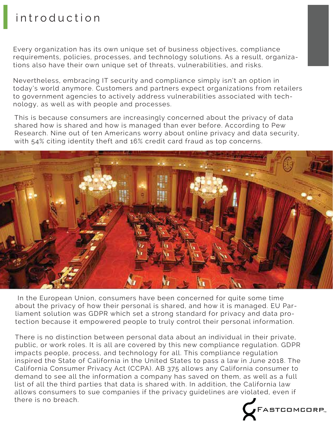# introduction

Every organization has its own unique set of business objectives, compliance requirements, policies, processes, and technology solutions. As a result, organizations also have their own unique set of threats, vulnerabilities, and risks.

Nevertheless, embracing IT security and compliance simply isn't an option in today's world anymore. Customers and partners expect organizations from retailers to government agencies to actively address vulnerabilities associated with technology, as well as with people and processes.

This is because consumers are increasingly concerned about the privacy of data shared how is shared and how is managed than ever before. According to Pew Research. Nine out of ten Americans worry about online privacy and data security, with 54% citing identity theft and 16% credit card fraud as top concerns.



 In the European Union, consumers have been concerned for quite some time about the privacy of how their personal is shared, and how it is managed. EU Parliament solution was GDPR which set a strong standard for privacy and data protection because it empowered people to truly control their personal information.

There is no distinction between personal data about an individual in their private, public, or work roles. It is all are covered by this new compliance regulation. GDPR impacts people, process, and technology for all. This compliance regulation inspired the State of California in the United States to pass a law in June 2018. The California Consumer Privacy Act (CCPA). AB 375 allows any California consumer to demand to see all the information a company has saved on them, as well as a full list of all the third parties that data is shared with. In addition, the California law allows consumers to sue companies if the privacy guidelines are violated, even if there is no breach.

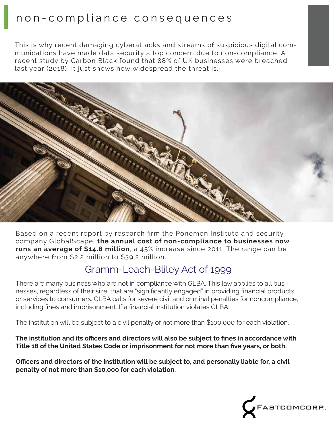# non-compliance consequences

This is why recent damaging cyberattacks and streams of suspicious digital communications have made data security a top concern due to non-compliance. A recent study by Carbon Black found that 88% of UK businesses were breached last year (2018), It just shows how widespread the threat is.



Based on a recent report by research firm the Ponemon Institute and security company GlobalScape, **the annual cost of non-compliance to businesses now runs an average of \$14.8 million**, a 45% increase since 2011. The range can be anywhere from \$2.2 million to \$39.2 million.

## Gramm-Leach-Bliley Act of 1999

There are many business who are not in compliance with GLBA. This law applies to all businesses, regardless of their size, that are "significantly engaged" in providing financial products or services to consumers. GLBA calls for severe civil and criminal penalties for noncompliance, including fines and imprisonment. If a financial institution violates GLBA:

The institution will be subject to a civil penalty of not more than \$100,000 for each violation.

**The institution and its officers and directors will also be subject to fines in accordance with Title 18 of the United States Code or imprisonment for not more than five years, or both.**

**Officers and directors of the institution will be subject to, and personally liable for, a civil penalty of not more than \$10,000 for each violation.**

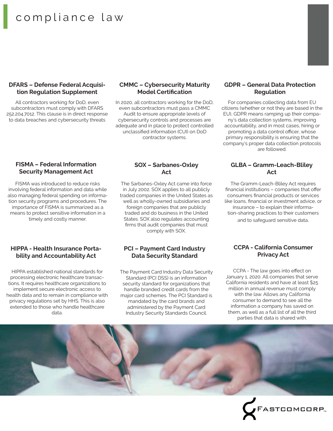# compliance law

#### **DFARS – Defense Federal Acquisition Regulation Supplement**

All contractors working for DoD, even subcontractors must comply with DFARS 252.204.7012. This clause is in direct response to data breaches and cybersecurity threats

#### **CMMC – Cybersecurity Maturity Model Certification**

In 2020, all contractors working for the DoD, even subcontractors must pass a CMMC Audit to ensure appropriate levels of cybersecurity controls and processes are adequate and in place to protect controlled unclassified information (CUI) on DoD contractor systems.

#### **FISMA – Federal Information Security Management Act**

FISMA was introduced to reduce risks involving federal information and data while also managing federal spending on information security programs and procedures. The importance of FISMA is summarized as a means to protect sensitive information in a timely and costly manner.

#### **HIPPA - Health Insurance Portability and Accountability Act**

HIPPA established national standards for processing electronic healthcare transactions. It requires healthcare organizations to implement secure electronic access to health data and to remain in compliance with privacy regulations set by HHS. This is also extended to those who handle healthcare data.

## **SOX – Sarbanes-Oxley Act**

The Sarbanes-Oxley Act came into force in July 2002. SOX applies to all publicly traded companies in the United States as well as wholly-owned subsidiaries and foreign companies that are publicly traded and do business in the United States. SOX also regulates accounting firms that audit companies that must comply with SOX.

## **PCI – Payment Card Industry Data Security Standard**

The Payment Card Industry Data Security Standard (PCI DSS) is an information security standard for organizations that handle branded credit cards from the major card schemes. The PCI Standard is mandated by the card brands and administered by the Payment Card Industry Security Standards Council.

#### **GDPR – General Data Protection Regulation**

For companies collecting data from EU citizens (whether or not they are based in the EU), GDPR means ramping up their company's data collection systems, improving accountability, and in most cases, hiring or promoting a data control officer, whose primary responsibility is ensuring that the company's proper data collection protocols are followed.

## **GLBA – Gramm-Leach-Bliley Act**

The Gramm-Leach-Bliley Act requires financial institutions – companies that offer consumers financial products or services like loans, financial or investment advice, or insurance – to explain their information-sharing practices to their customers and to safeguard sensitive data.

### **CCPA - California Consumer Privacy Act**

CCPA - The law goes into effect on January 1, 2020. All companies that serve California residents and have at least \$25 million in annual revenue must comply with the law. Allows any California consumer to demand to see all the information a company has saved on them, as well as a full list of all the third parties that data is shared with.

FASTCOMCORP.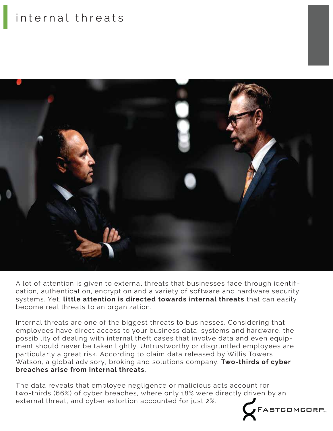# internal threats



A lot of attention is given to external threats that businesses face through identification, authentication, encryption and a variety of software and hardware security systems. Yet, **little attention is directed towards internal threats** that can easily become real threats to an organization.

Internal threats are one of the biggest threats to businesses. Considering that employees have direct access to your business data, systems and hardware, the possibility of dealing with internal theft cases that involve data and even equipment should never be taken lightly. Untrustworthy or disgruntled employees are particularly a great risk. According to claim data released by Willis Towers Watson, a global advisory, broking and solutions company. **Two-thirds of cyber breaches arise from internal threats**,

The data reveals that employee negligence or malicious acts account for two-thirds (66%) of cyber breaches, where only 18% were directly driven by an external threat, and cyber extortion accounted for just 2%.FASTCOMCORP<sub>"</sub>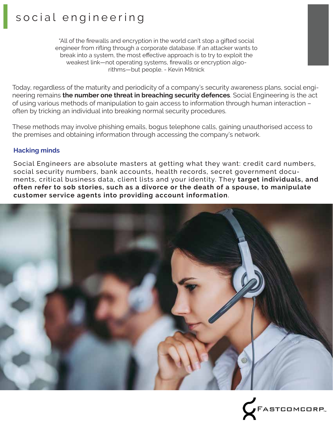# social engineering

"All of the firewalls and encryption in the world can't stop a gifted social engineer from rifling through a corporate database. If an attacker wants to break into a system, the most effective approach is to try to exploit the weakest link—not operating systems, firewalls or encryption algorithms—but people. - Kevin Mitnick

Today, regardless of the maturity and periodicity of a company's security awareness plans, social engineering remains **the number one threat in breaching security defences**. Social Engineering is the act of using various methods of manipulation to gain access to information through human interaction – often by tricking an individual into breaking normal security procedures.

These methods may involve phishing emails, bogus telephone calls, gaining unauthorised access to the premises and obtaining information through accessing the company's network.

## **Hacking minds**

Social Engineers are absolute masters at getting what they want: credit card numbers, social security numbers, bank accounts, health records, secret government documents, critical business data, client lists and your identity. They **target individuals, and often refer to sob stories, such as a divorce or the death of a spouse, to manipulate customer service agents into providing account information**.



FASTCOMCORP<sub>"</sub>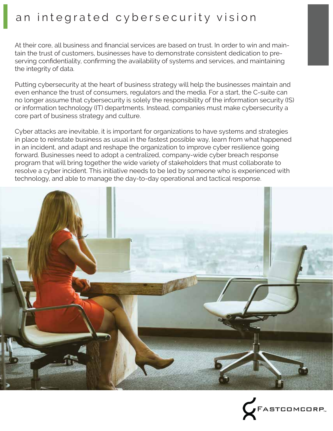# an integrated cybersecurity vision

At their core, all business and financial services are based on trust. In order to win and maintain the trust of customers, businesses have to demonstrate consistent dedication to preserving confidentiality, confirming the availability of systems and services, and maintaining the integrity of data.

Putting cybersecurity at the heart of business strategy will help the businesses maintain and even enhance the trust of consumers, regulators and the media. For a start, the C-suite can no longer assume that cybersecurity is solely the responsibility of the information security (IS) or information technology (IT) departments. Instead, companies must make cybersecurity a core part of business strategy and culture.

Cyber attacks are inevitable, it is important for organizations to have systems and strategies in place to reinstate business as usual in the fastest possible way, learn from what happened in an incident, and adapt and reshape the organization to improve cyber resilience going forward. Businesses need to adopt a centralized, company-wide cyber breach response program that will bring together the wide variety of stakeholders that must collaborate to resolve a cyber incident. This initiative needs to be led by someone who is experienced with technology, and able to manage the day-to-day operational and tactical response.



ASTCOMCORP<sub>®</sub>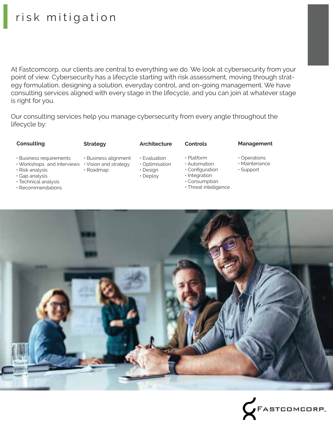# risk mitigation

At Fastcomcorp, our clients are central to everything we do. We look at cybersecurity from your point of view. Cybersecurity has a lifecycle starting with risk assessment, moving through strategy formulation, designing a solution, everyday control, and on-going management. We have consulting services aligned with every stage in the lifecycle, and you can join at whatever stage is right for you.

Our consulting services help you manage cybersecurity from every angle throughout the lifecycle by:

#### **Consulting Strategy Architecture Controls Management**

• Operations • Maintenance • Support

- Business requirements
- Workshops and interviews Vision and strategy
- Risk analysis
- Gap analysis
- Technical analysis
- Recommendations
- Business alignment
- Deploy
- Integration • Consumption
	- Threat intelligence
- 



- Evaluation
	- Optimisation • Design
- Roadmap
- 

- 
- Platform • Automation
- Configuration